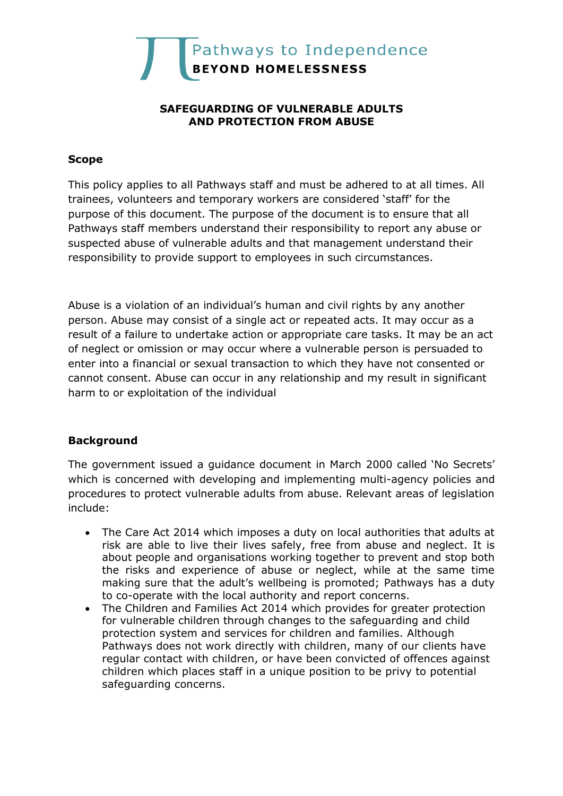

### **SAFEGUARDING OF VULNERABLE ADULTS AND PROTECTION FROM ABUSE**

### **Scope**

This policy applies to all Pathways staff and must be adhered to at all times. All trainees, volunteers and temporary workers are considered 'staff' for the purpose of this document. The purpose of the document is to ensure that all Pathways staff members understand their responsibility to report any abuse or suspected abuse of vulnerable adults and that management understand their responsibility to provide support to employees in such circumstances.

Abuse is a violation of an individual's human and civil rights by any another person. Abuse may consist of a single act or repeated acts. It may occur as a result of a failure to undertake action or appropriate care tasks. It may be an act of neglect or omission or may occur where a vulnerable person is persuaded to enter into a financial or sexual transaction to which they have not consented or cannot consent. Abuse can occur in any relationship and my result in significant harm to or exploitation of the individual

## **Background**

The government issued a guidance document in March 2000 called 'No Secrets' which is concerned with developing and implementing multi-agency policies and procedures to protect vulnerable adults from abuse. Relevant areas of legislation include:

- The Care Act 2014 which imposes a duty on local authorities that adults at risk are able to live their lives safely, free from abuse and neglect. It is about people and organisations working together to prevent and stop both the risks and experience of abuse or neglect, while at the same time making sure that the adult's wellbeing is promoted; Pathways has a duty to co-operate with the local authority and report concerns.
- The Children and Families Act 2014 which provides for greater protection for vulnerable children through changes to the safeguarding and child protection system and services for children and families. Although Pathways does not work directly with children, many of our clients have regular contact with children, or have been convicted of offences against children which places staff in a unique position to be privy to potential safeguarding concerns.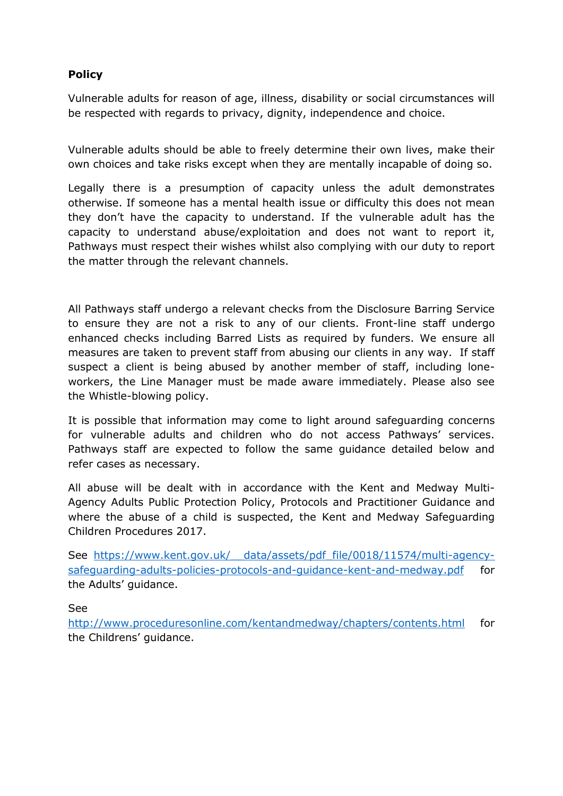# **Policy**

Vulnerable adults for reason of age, illness, disability or social circumstances will be respected with regards to privacy, dignity, independence and choice.

Vulnerable adults should be able to freely determine their own lives, make their own choices and take risks except when they are mentally incapable of doing so.

Legally there is a presumption of capacity unless the adult demonstrates otherwise. If someone has a mental health issue or difficulty this does not mean they don't have the capacity to understand. If the vulnerable adult has the capacity to understand abuse/exploitation and does not want to report it, Pathways must respect their wishes whilst also complying with our duty to report the matter through the relevant channels.

All Pathways staff undergo a relevant checks from the Disclosure Barring Service to ensure they are not a risk to any of our clients. Front-line staff undergo enhanced checks including Barred Lists as required by funders. We ensure all measures are taken to prevent staff from abusing our clients in any way. If staff suspect a client is being abused by another member of staff, including loneworkers, the Line Manager must be made aware immediately. Please also see the Whistle-blowing policy.

It is possible that information may come to light around safeguarding concerns for vulnerable adults and children who do not access Pathways' services. Pathways staff are expected to follow the same guidance detailed below and refer cases as necessary.

All abuse will be dealt with in accordance with the Kent and Medway Multi-Agency Adults Public Protection Policy, Protocols and Practitioner Guidance and where the abuse of a child is suspected, the Kent and Medway Safeguarding Children Procedures 2017.

See https://www.kent.gov.uk/ data/assets/pdf file/0018/11574/multi-agency[safeguarding-adults-policies-protocols-and-guidance-kent-and-medway.pdf](https://www.kent.gov.uk/__data/assets/pdf_file/0018/11574/multi-agency-safeguarding-adults-policies-protocols-and-guidance-kent-and-medway.pdf) for the Adults' guidance.

See

<http://www.proceduresonline.com/kentandmedway/chapters/contents.html> for the Childrens' guidance.